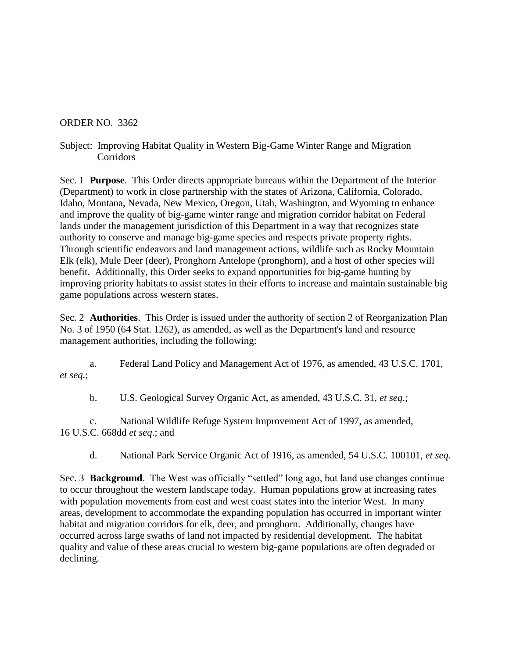## ORDER NO. 3362

Subject: Improving Habitat Quality in Western Big-Game Winter Range and Migration Corridors

Sec. 1 **Purpose**. This Order directs appropriate bureaus within the Department of the Interior (Department) to work in close partnership with the states of Arizona, California, Colorado, Idaho, Montana, Nevada, New Mexico, Oregon, Utah, Washington, and Wyoming to enhance and improve the quality of big-game winter range and migration corridor habitat on Federal lands under the management jurisdiction of this Department in a way that recognizes state authority to conserve and manage big-game species and respects private property rights. Through scientific endeavors and land management actions, wildlife such as Rocky Mountain Elk (elk), Mule Deer (deer), Pronghorn Antelope (pronghorn), and a host of other species will benefit. Additionally, this Order seeks to expand opportunities for big-game hunting by improving priority habitats to assist states in their efforts to increase and maintain sustainable big game populations across western states.

Sec. 2 **Authorities**. This Order is issued under the authority of section 2 of Reorganization Plan No. 3 of 1950 (64 Stat. 1262), as amended, as well as the Department's land and resource management authorities, including the following:

a. Federal Land Policy and Management Act of 1976, as amended, 43 U.S.C. 1701, *et seq*.;

b. U.S. Geological Survey Organic Act, as amended, 43 U.S.C. 31, *et seq*.;

c. National Wildlife Refuge System Improvement Act of 1997, as amended, 16 U.S.C. 668dd *et seq*.; and

d. National Park Service Organic Act of 1916, as amended, 54 U.S.C. 100101, *et seq*.

Sec. 3 **Background**.The West was officially "settled" long ago, but land use changes continue to occur throughout the western landscape today. Human populations grow at increasing rates with population movements from east and west coast states into the interior West. In many areas, development to accommodate the expanding population has occurred in important winter habitat and migration corridors for elk, deer, and pronghorn. Additionally, changes have occurred across large swaths of land not impacted by residential development. The habitat quality and value of these areas crucial to western big-game populations are often degraded or declining.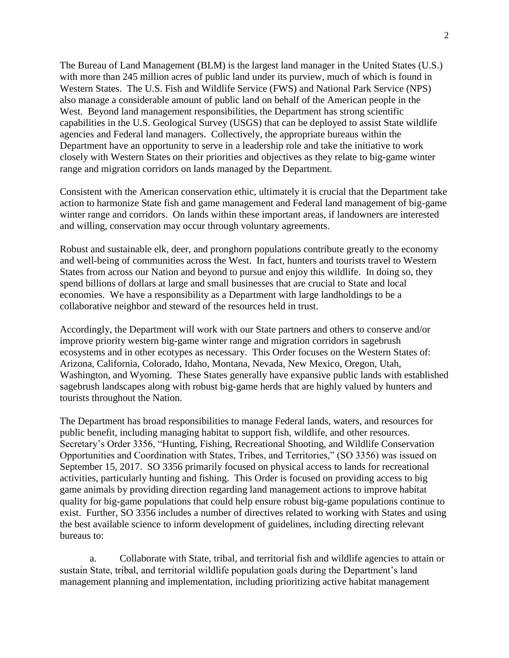The Bureau of Land Management (BLM) is the largest land manager in the United States (U.S.) with more than 245 million acres of public land under its purview, much of which is found in Western States. The U.S. Fish and Wildlife Service (FWS) and National Park Service (NPS) also manage a considerable amount of public land on behalf of the American people in the West. Beyond land management responsibilities, the Department has strong scientific capabilities in the U.S. Geological Survey (USGS) that can be deployed to assist State wildlife agencies and Federal land managers. Collectively, the appropriate bureaus within the Department have an opportunity to serve in a leadership role and take the initiative to work closely with Western States on their priorities and objectives as they relate to big-game winter range and migration corridors on lands managed by the Department.

Consistent with the American conservation ethic, ultimately it is crucial that the Department take action to harmonize State fish and game management and Federal land management of big-game winter range and corridors. On lands within these important areas, if landowners are interested and willing, conservation may occur through voluntary agreements.

Robust and sustainable elk, deer, and pronghorn populations contribute greatly to the economy and well-being of communities across the West. In fact, hunters and tourists travel to Western States from across our Nation and beyond to pursue and enjoy this wildlife. In doing so, they spend billions of dollars at large and small businesses that are crucial to State and local economies. We have a responsibility as a Department with large landholdings to be a collaborative neighbor and steward of the resources held in trust.

Accordingly, the Department will work with our State partners and others to conserve and/or improve priority western big-game winter range and migration corridors in sagebrush ecosystems and in other ecotypes as necessary. This Order focuses on the Western States of: Arizona, California, Colorado, Idaho, Montana, Nevada, New Mexico, Oregon, Utah, Washington, and Wyoming. These States generally have expansive public lands with established sagebrush landscapes along with robust big-game herds that are highly valued by hunters and tourists throughout the Nation.

The Department has broad responsibilities to manage Federal lands, waters, and resources for public benefit, including managing habitat to support fish, wildlife, and other resources. Secretary's Order 3356, "Hunting, Fishing, Recreational Shooting, and Wildlife Conservation Opportunities and Coordination with States, Tribes, and Territories," (SO 3356) was issued on September 15, 2017. SO 3356 primarily focused on physical access to lands for recreational activities, particularly hunting and fishing. This Order is focused on providing access to big game animals by providing direction regarding land management actions to improve habitat quality for big-game populations that could help ensure robust big-game populations continue to exist. Further, SO 3356 includes a number of directives related to working with States and using the best available science to inform development of guidelines, including directing relevant bureaus to:

a. Collaborate with State, tribal, and territorial fish and wildlife agencies to attain or sustain State, tribal, and territorial wildlife population goals during the Department's land management planning and implementation, including prioritizing active habitat management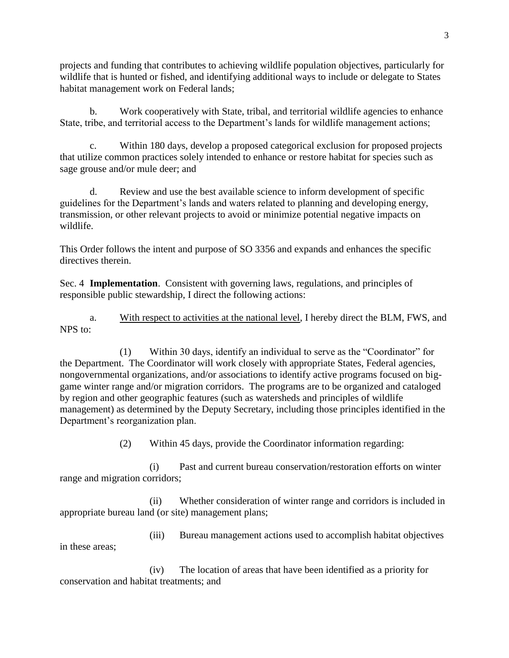projects and funding that contributes to achieving wildlife population objectives, particularly for wildlife that is hunted or fished, and identifying additional ways to include or delegate to States habitat management work on Federal lands;

b. Work cooperatively with State, tribal, and territorial wildlife agencies to enhance State, tribe, and territorial access to the Department's lands for wildlife management actions;

c. Within 180 days, develop a proposed categorical exclusion for proposed projects that utilize common practices solely intended to enhance or restore habitat for species such as sage grouse and/or mule deer; and

d. Review and use the best available science to inform development of specific guidelines for the Department's lands and waters related to planning and developing energy, transmission, or other relevant projects to avoid or minimize potential negative impacts on wildlife.

This Order follows the intent and purpose of SO 3356 and expands and enhances the specific directives therein.

Sec. 4 **Implementation**. Consistent with governing laws, regulations, and principles of responsible public stewardship, I direct the following actions:

a. With respect to activities at the national level, I hereby direct the BLM, FWS, and NPS to:

(1) Within 30 days, identify an individual to serve as the "Coordinator" for the Department. The Coordinator will work closely with appropriate States, Federal agencies, nongovernmental organizations, and/or associations to identify active programs focused on biggame winter range and/or migration corridors. The programs are to be organized and cataloged by region and other geographic features (such as watersheds and principles of wildlife management) as determined by the Deputy Secretary, including those principles identified in the Department's reorganization plan.

(2) Within 45 days, provide the Coordinator information regarding:

(i) Past and current bureau conservation/restoration efforts on winter range and migration corridors;

(ii) Whether consideration of winter range and corridors is included in appropriate bureau land (or site) management plans;

(iii) Bureau management actions used to accomplish habitat objectives in these areas;

(iv) The location of areas that have been identified as a priority for conservation and habitat treatments; and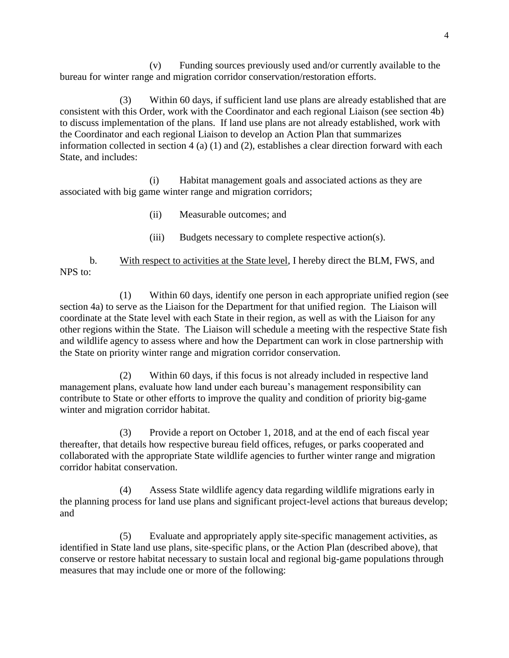(v) Funding sources previously used and/or currently available to the bureau for winter range and migration corridor conservation/restoration efforts.

(3) Within 60 days, if sufficient land use plans are already established that are consistent with this Order, work with the Coordinator and each regional Liaison (see section 4b) to discuss implementation of the plans. If land use plans are not already established, work with the Coordinator and each regional Liaison to develop an Action Plan that summarizes information collected in section 4 (a) (1) and (2), establishes a clear direction forward with each State, and includes:

(i) Habitat management goals and associated actions as they are associated with big game winter range and migration corridors;

- (ii) Measurable outcomes; and
- (iii) Budgets necessary to complete respective action(s).

b. With respect to activities at the State level, I hereby direct the BLM, FWS, and NPS to:

(1) Within 60 days, identify one person in each appropriate unified region (see section 4a) to serve as the Liaison for the Department for that unified region. The Liaison will coordinate at the State level with each State in their region, as well as with the Liaison for any other regions within the State. The Liaison will schedule a meeting with the respective State fish and wildlife agency to assess where and how the Department can work in close partnership with the State on priority winter range and migration corridor conservation.

(2) Within 60 days, if this focus is not already included in respective land management plans, evaluate how land under each bureau's management responsibility can contribute to State or other efforts to improve the quality and condition of priority big-game winter and migration corridor habitat.

(3) Provide a report on October 1, 2018, and at the end of each fiscal year thereafter, that details how respective bureau field offices, refuges, or parks cooperated and collaborated with the appropriate State wildlife agencies to further winter range and migration corridor habitat conservation.

(4) Assess State wildlife agency data regarding wildlife migrations early in the planning process for land use plans and significant project-level actions that bureaus develop; and

(5) Evaluate and appropriately apply site-specific management activities, as identified in State land use plans, site-specific plans, or the Action Plan (described above), that conserve or restore habitat necessary to sustain local and regional big-game populations through measures that may include one or more of the following: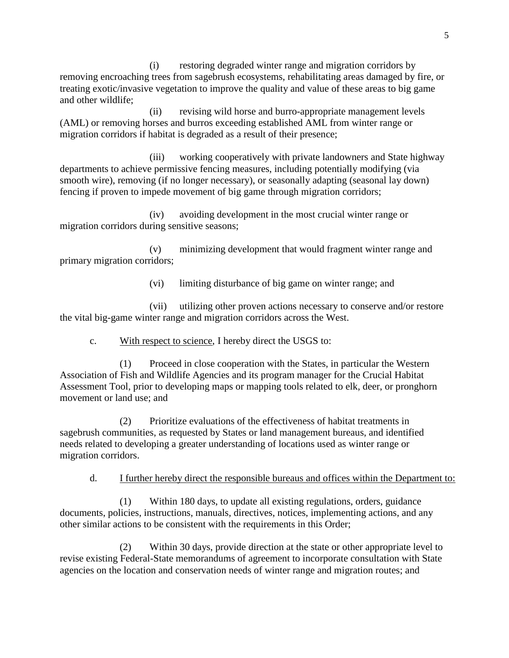(i) restoring degraded winter range and migration corridors by removing encroaching trees from sagebrush ecosystems, rehabilitating areas damaged by fire, or treating exotic/invasive vegetation to improve the quality and value of these areas to big game and other wildlife;

(ii) revising wild horse and burro-appropriate management levels (AML) or removing horses and burros exceeding established AML from winter range or migration corridors if habitat is degraded as a result of their presence;

(iii) working cooperatively with private landowners and State highway departments to achieve permissive fencing measures, including potentially modifying (via smooth wire), removing (if no longer necessary), or seasonally adapting (seasonal lay down) fencing if proven to impede movement of big game through migration corridors;

(iv) avoiding development in the most crucial winter range or migration corridors during sensitive seasons;

(v) minimizing development that would fragment winter range and primary migration corridors;

(vi) limiting disturbance of big game on winter range; and

(vii) utilizing other proven actions necessary to conserve and/or restore the vital big-game winter range and migration corridors across the West.

c. With respect to science, I hereby direct the USGS to:

(1) Proceed in close cooperation with the States, in particular the Western Association of Fish and Wildlife Agencies and its program manager for the Crucial Habitat Assessment Tool, prior to developing maps or mapping tools related to elk, deer, or pronghorn movement or land use; and

(2) Prioritize evaluations of the effectiveness of habitat treatments in sagebrush communities, as requested by States or land management bureaus, and identified needs related to developing a greater understanding of locations used as winter range or migration corridors.

d. I further hereby direct the responsible bureaus and offices within the Department to:

(1) Within 180 days, to update all existing regulations, orders, guidance documents, policies, instructions, manuals, directives, notices, implementing actions, and any other similar actions to be consistent with the requirements in this Order;

(2) Within 30 days, provide direction at the state or other appropriate level to revise existing Federal-State memorandums of agreement to incorporate consultation with State agencies on the location and conservation needs of winter range and migration routes; and